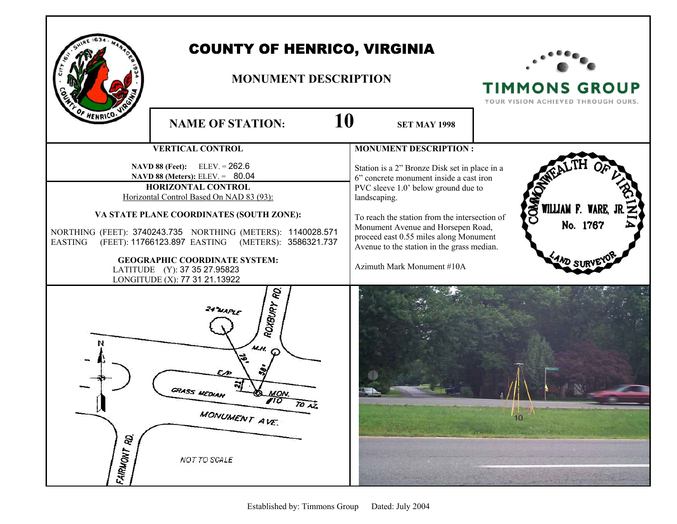

## COUNTY OF HENRICO, VIRGINIA

## **MONUMENT DESCRIPTION**



**TIMMONS GROUP** YOUR VISION ACHIEVED THROUGH OURS.

**NAME OF STATION:**  $\qquad \qquad 10$  set may 1998 **VERTICAL CONTROL MONUMENT DESCRIPTION : NAVD 88 (Feet):** ELEV. = 262.6 Station is a 2" Bronze Disk set in place in a **NAVD 88 (Meters):** ELEV. = 80.04 6" concrete monument inside a cast iron **HORIZONTAL CONTROL** PVC sleeve 1.0' below ground due to Horizontal Control Based On NAD 83 (93): landscaping. **WILLIAM F. VA STATE PLANE COORDINATES (SOUTH ZONE):**  To reach the station from the intersection of No. 1767 Monument Avenue and Horsepen Road, NORTHING (FEET): 3740243.735 NORTHING (METERS): 1140028.571 proceed east 0.55 miles along Monument EASTING (FEET): 11766123.897 EASTING (METERS): 3586321.737 Avenue to the station in the grass median. **GEOGRAPHIC COORDINATE SYSTEM:** Azimuth Mark Monument #10A LATITUDE (Y): 37 35 27.95823 LONGITUDE (X): 77 31 21.13922 **ROXBURY RD.** 24 MAPLE MH<sub>Q</sub> GRASS MEDIAN **VON.**  $70\overline{6}$ MONUMENT AVE.  $10$ FAIRMONT RD. NOT TO SCALE